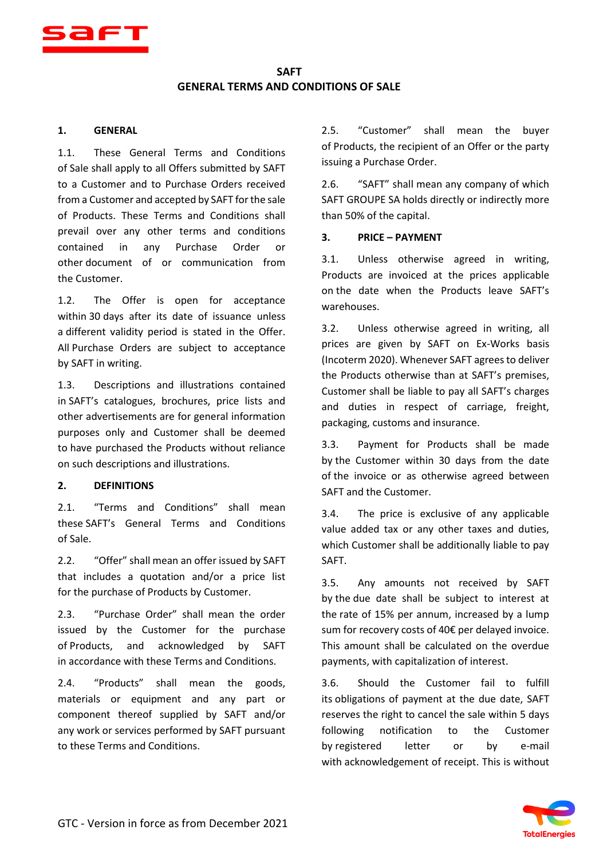

# **SAFT GENERAL TERMS AND CONDITIONS OF SALE**

### **1. GENERAL**

1.1. These General Terms and Conditions of Sale shall apply to all Offers submitted by SAFT to a Customer and to Purchase Orders received from a Customer and accepted by SAFT for the sale of Products. These Terms and Conditions shall prevail over any other terms and conditions contained in any Purchase Order or other document of or communication from the Customer.

1.2. The Offer is open for acceptance within 30 days after its date of issuance unless a different validity period is stated in the Offer. All Purchase Orders are subject to acceptance by SAFT in writing.

1.3. Descriptions and illustrations contained in SAFT's catalogues, brochures, price lists and other advertisements are for general information purposes only and Customer shall be deemed to have purchased the Products without reliance on such descriptions and illustrations.

## **2. DEFINITIONS**

2.1. "Terms and Conditions" shall mean these SAFT's General Terms and Conditions of Sale.

2.2. "Offer" shall mean an offer issued by SAFT that includes a quotation and/or a price list for the purchase of Products by Customer.

2.3. "Purchase Order" shall mean the order issued by the Customer for the purchase of Products, and acknowledged by SAFT in accordance with these Terms and Conditions.

2.4. "Products" shall mean the goods, materials or equipment and any part or component thereof supplied by SAFT and/or any work or services performed by SAFT pursuant to these Terms and Conditions.

2.5. "Customer" shall mean the buyer of Products, the recipient of an Offer or the party issuing a Purchase Order.

2.6. "SAFT" shall mean any company of which SAFT GROUPE SA holds directly or indirectly more than 50% of the capital.

### **3. PRICE – PAYMENT**

3.1. Unless otherwise agreed in writing, Products are invoiced at the prices applicable on the date when the Products leave SAFT's warehouses.

3.2. Unless otherwise agreed in writing, all prices are given by SAFT on Ex-Works basis (Incoterm 2020). Whenever SAFT agrees to deliver the Products otherwise than at SAFT's premises, Customer shall be liable to pay all SAFT's charges and duties in respect of carriage, freight, packaging, customs and insurance.

3.3. Payment for Products shall be made by the Customer within 30 days from the date of the invoice or as otherwise agreed between SAFT and the Customer.

3.4. The price is exclusive of any applicable value added tax or any other taxes and duties, which Customer shall be additionally liable to pay SAFT.

3.5. Any amounts not received by SAFT by the due date shall be subject to interest at the rate of 15% per annum, increased by a lump sum for recovery costs of 40€ per delayed invoice. This amount shall be calculated on the overdue payments, with capitalization of interest.

3.6. Should the Customer fail to fulfill its obligations of payment at the due date, SAFT reserves the right to cancel the sale within 5 days following notification to the Customer by registered letter or by e-mail with acknowledgement of receipt. This is without

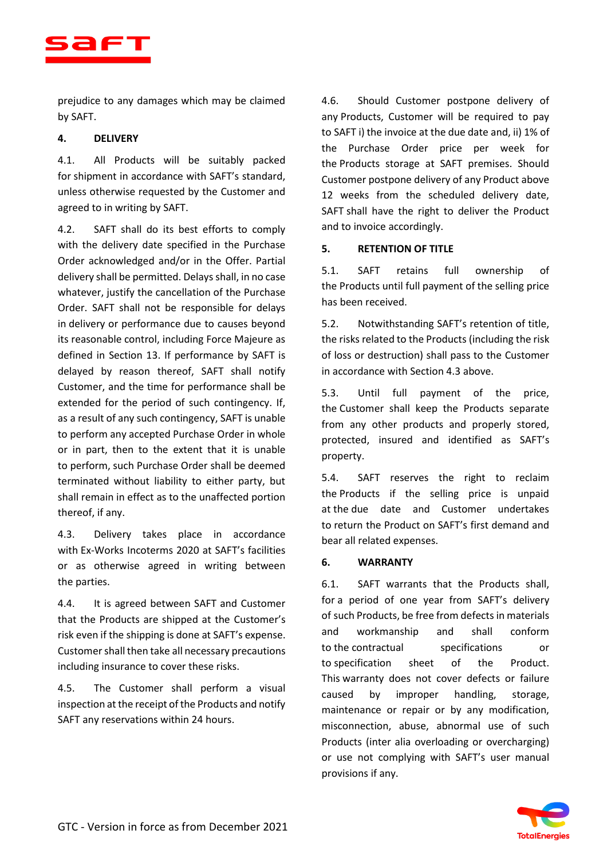

prejudice to any damages which may be claimed by SAFT.

# **4. DELIVERY**

4.1. All Products will be suitably packed for shipment in accordance with SAFT's standard, unless otherwise requested by the Customer and agreed to in writing by SAFT.

4.2. SAFT shall do its best efforts to comply with the delivery date specified in the Purchase Order acknowledged and/or in the Offer. Partial delivery shall be permitted. Delays shall, in no case whatever, justify the cancellation of the Purchase Order. SAFT shall not be responsible for delays in delivery or performance due to causes beyond its reasonable control, including Force Majeure as defined in Section 13. If performance by SAFT is delayed by reason thereof, SAFT shall notify Customer, and the time for performance shall be extended for the period of such contingency. If, as a result of any such contingency, SAFT is unable to perform any accepted Purchase Order in whole or in part, then to the extent that it is unable to perform, such Purchase Order shall be deemed terminated without liability to either party, but shall remain in effect as to the unaffected portion thereof, if any.

4.3. Delivery takes place in accordance with Ex-Works Incoterms 2020 at SAFT's facilities or as otherwise agreed in writing between the parties.

4.4. It is agreed between SAFT and Customer that the Products are shipped at the Customer's risk even if the shipping is done at SAFT's expense. Customer shall then take all necessary precautions including insurance to cover these risks.

4.5. The Customer shall perform a visual inspection at the receipt of the Products and notify SAFT any reservations within 24 hours.

4.6. Should Customer postpone delivery of any Products, Customer will be required to pay to SAFT i) the invoice at the due date and, ii) 1% of the Purchase Order price per week for the Products storage at SAFT premises. Should Customer postpone delivery of any Product above 12 weeks from the scheduled delivery date, SAFT shall have the right to deliver the Product and to invoice accordingly.

# **5. RETENTION OF TITLE**

5.1. SAFT retains full ownership of the Products until full payment of the selling price has been received.

5.2. Notwithstanding SAFT's retention of title, the risks related to the Products (including the risk of loss or destruction) shall pass to the Customer in accordance with Section 4.3 above.

5.3. Until full payment of the price, the Customer shall keep the Products separate from any other products and properly stored, protected, insured and identified as SAFT's property.

5.4. SAFT reserves the right to reclaim the Products if the selling price is unpaid at the due date and Customer undertakes to return the Product on SAFT's first demand and bear all related expenses.

## **6. WARRANTY**

6.1. SAFT warrants that the Products shall, for a period of one year from SAFT's delivery of such Products, be free from defects in materials and workmanship and shall conform to the contractual specifications or to specification sheet of the Product. This warranty does not cover defects or failure caused by improper handling, storage, maintenance or repair or by any modification, misconnection, abuse, abnormal use of such Products (inter alia overloading or overcharging) or use not complying with SAFT's user manual provisions if any.

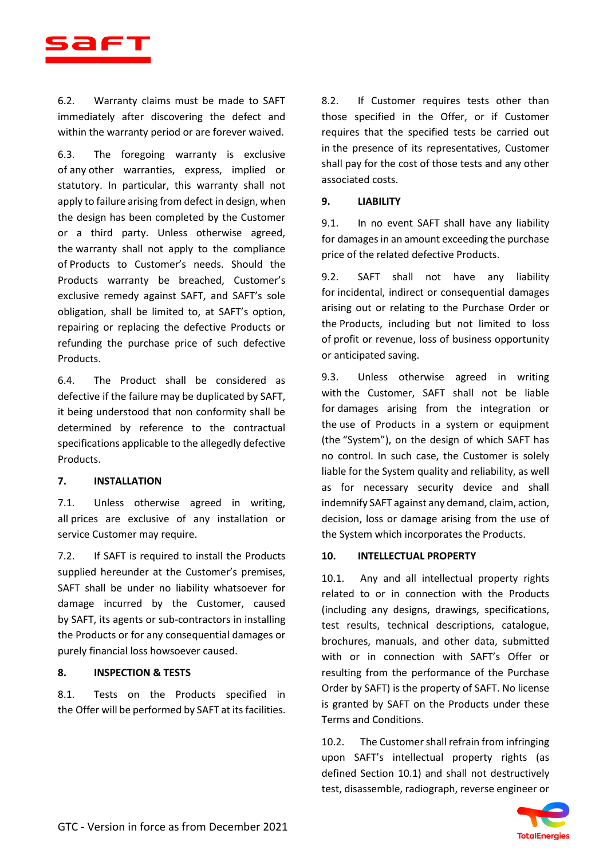

6.2. Warranty claims must be made to SAFT immediately after discovering the defect and within the warranty period or are forever waived.

6.3. The foregoing warranty is exclusive of any other warranties, express, implied or statutory. In particular, this warranty shall not apply to failure arising from defect in design, when the design has been completed by the Customer or a third party. Unless otherwise agreed, the warranty shall not apply to the compliance of Products to Customer's needs. Should the Products warranty be breached, Customer's exclusive remedy against SAFT, and SAFT's sole obligation, shall be limited to, at SAFT's option, repairing or replacing the defective Products or refunding the purchase price of such defective Products.

6.4. The Product shall be considered as defective if the failure may be duplicated by SAFT, it being understood that non conformity shall be determined by reference to the contractual specifications applicable to the allegedly defective Products.

## **7. INSTALLATION**

7.1. Unless otherwise agreed in writing, all prices are exclusive of any installation or service Customer may require.

7.2. If SAFT is required to install the Products supplied hereunder at the Customer's premises, SAFT shall be under no liability whatsoever for damage incurred by the Customer, caused by SAFT, its agents or sub-contractors in installing the Products or for any consequential damages or purely financial loss howsoever caused.

## **8. INSPECTION & TESTS**

8.1. Tests on the Products specified in the Offer will be performed by SAFT at its facilities.

8.2. If Customer requires tests other than those specified in the Offer, or if Customer requires that the specified tests be carried out in the presence of its representatives, Customer shall pay for the cost of those tests and any other associated costs.

### **9. LIABILITY**

9.1. In no event SAFT shall have any liability for damages in an amount exceeding the purchase price of the related defective Products.

9.2. SAFT shall not have any liability for incidental, indirect or consequential damages arising out or relating to the Purchase Order or the Products, including but not limited to loss of profit or revenue, loss of business opportunity or anticipated saving.

9.3. Unless otherwise agreed in writing with the Customer, SAFT shall not be liable for damages arising from the integration or the use of Products in a system or equipment (the "System"), on the design of which SAFT has no control. In such case, the Customer is solely liable for the System quality and reliability, as well as for necessary security device and shall indemnify SAFT against any demand, claim, action, decision, loss or damage arising from the use of the System which incorporates the Products.

### **10. INTELLECTUAL PROPERTY**

10.1. Any and all intellectual property rights related to or in connection with the Products (including any designs, drawings, specifications, test results, technical descriptions, catalogue, brochures, manuals, and other data, submitted with or in connection with SAFT's Offer or resulting from the performance of the Purchase Order by SAFT) is the property of SAFT. No license is granted by SAFT on the Products under these Terms and Conditions.

10.2. The Customer shall refrain from infringing upon SAFT's intellectual property rights (as defined Section 10.1) and shall not destructively test, disassemble, radiograph, reverse engineer or

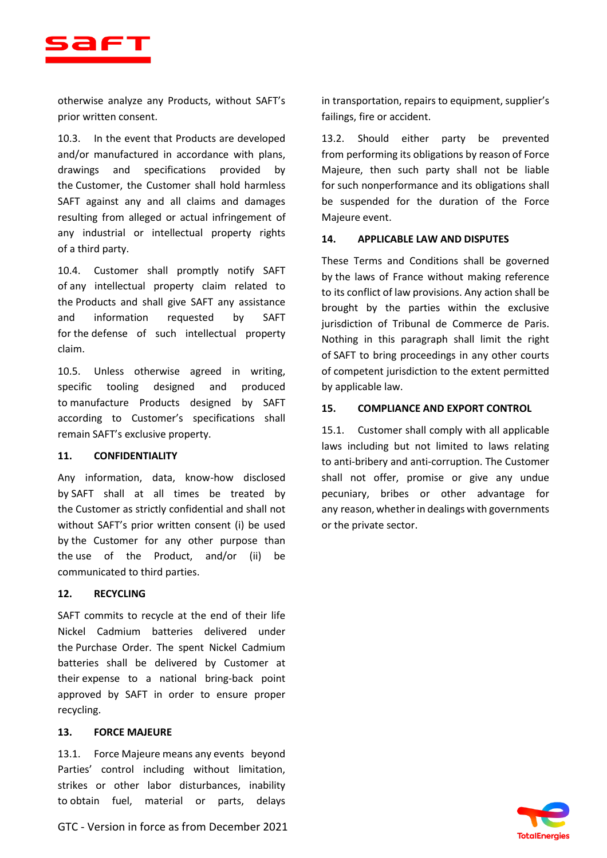

otherwise analyze any Products, without SAFT's prior written consent.

10.3. In the event that Products are developed and/or manufactured in accordance with plans, drawings and specifications provided by the Customer, the Customer shall hold harmless SAFT against any and all claims and damages resulting from alleged or actual infringement of any industrial or intellectual property rights of a third party.

10.4. Customer shall promptly notify SAFT of any intellectual property claim related to the Products and shall give SAFT any assistance and information requested by SAFT for the defense of such intellectual property claim.

10.5. Unless otherwise agreed in writing, specific tooling designed and produced to manufacture Products designed by SAFT according to Customer's specifications shall remain SAFT's exclusive property.

### **11. CONFIDENTIALITY**

Any information, data, know-how disclosed by SAFT shall at all times be treated by the Customer as strictly confidential and shall not without SAFT's prior written consent (i) be used by the Customer for any other purpose than the use of the Product, and/or (ii) be communicated to third parties.

### **12. RECYCLING**

SAFT commits to recycle at the end of their life Nickel Cadmium batteries delivered under the Purchase Order. The spent Nickel Cadmium batteries shall be delivered by Customer at their expense to a national bring-back point approved by SAFT in order to ensure proper recycling.

### **13. FORCE MAJEURE**

13.1. Force Majeure means any events beyond Parties' control including without limitation, strikes or other labor disturbances, inability to obtain fuel, material or parts, delays

GTC - Version in force as from December 2021

in transportation, repairs to equipment, supplier's failings, fire or accident.

13.2. Should either party be prevented from performing its obligations by reason of Force Majeure, then such party shall not be liable for such nonperformance and its obligations shall be suspended for the duration of the Force Majeure event.

#### **14. APPLICABLE LAW AND DISPUTES**

These Terms and Conditions shall be governed by the laws of France without making reference to its conflict of law provisions. Any action shall be brought by the parties within the exclusive jurisdiction of Tribunal de Commerce de Paris. Nothing in this paragraph shall limit the right of SAFT to bring proceedings in any other courts of competent jurisdiction to the extent permitted by applicable law.

### **15. COMPLIANCE AND EXPORT CONTROL**

15.1. Customer shall comply with all applicable laws including but not limited to laws relating to anti-bribery and anti-corruption. The Customer shall not offer, promise or give any undue pecuniary, bribes or other advantage for any reason, whether in dealings with governments or the private sector.